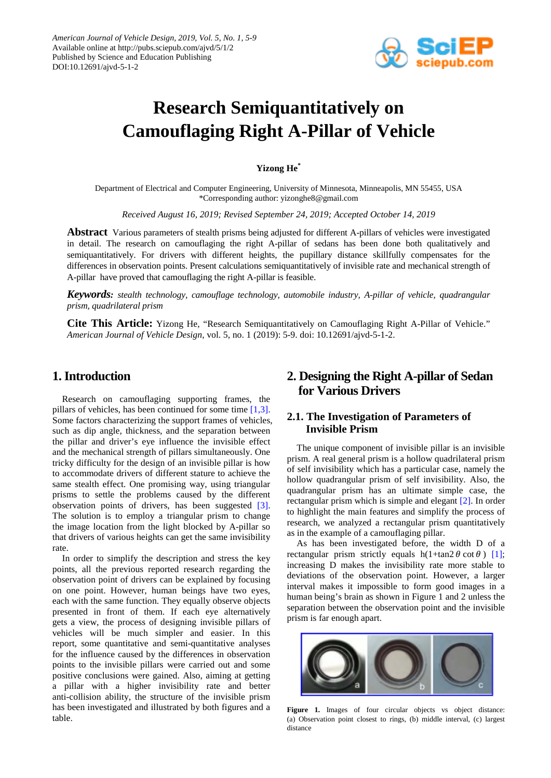

# **Research Semiquantitatively on Camouflaging Right A-Pillar of Vehicle**

**Yizong He\***

Department of Electrical and Computer Engineering, University of Minnesota, Minneapolis, MN 55455, USA \*Corresponding author: yizonghe8@gmail.com

*Received August 16, 2019; Revised September 24, 2019; Accepted October 14, 2019*

**Abstract** Various parameters of stealth prisms being adjusted for different A-pillars of vehicles were investigated in detail. The research on camouflaging the right A-pillar of sedans has been done both qualitatively and semiquantitatively. For drivers with different heights, the pupillary distance skillfully compensates for the differences in observation points. Present calculations semiquantitatively of invisible rate and mechanical strength of A-pillar have proved that camouflaging the right A-pillar is feasible.

*Keywords: stealth technology, camouflage technology, automobile industry, A-pillar of vehicle, quadrangular prism, quadrilateral prism*

**Cite This Article:** Yizong He, "Research Semiquantitatively on Camouflaging Right A-Pillar of Vehicle." *American Journal of Vehicle Design*, vol. 5, no. 1 (2019): 5-9. doi: 10.12691/ajvd-5-1-2.

# **1. Introduction**

Research on camouflaging supporting frames, the pillars of vehicles, has been continued for some time [\[1,3\].](#page-4-0) Some factors characterizing the support frames of vehicles, such as dip angle, thickness, and the separation between the pillar and driver's eye influence the invisible effect and the mechanical strength of pillars simultaneously. One tricky difficulty for the design of an invisible pillar is how to accommodate drivers of different stature to achieve the same stealth effect. One promising way, using triangular prisms to settle the problems caused by the different observation points of drivers, has been suggested [\[3\].](#page-4-1) The solution is to employ a triangular prism to change the image location from the light blocked by A-pillar so that drivers of various heights can get the same invisibility rate.

In order to simplify the description and stress the key points, all the previous reported research regarding the observation point of drivers can be explained by focusing on one point. However, human beings have two eyes, each with the same function. They equally observe objects presented in front of them. If each eye alternatively gets a view, the process of designing invisible pillars of vehicles will be much simpler and easier. In this report, some quantitative and semi-quantitative analyses for the influence caused by the differences in observation points to the invisible pillars were carried out and some positive conclusions were gained. Also, aiming at getting a pillar with a higher invisibility rate and better anti-collision ability, the structure of the invisible prism has been investigated and illustrated by both figures and a table.

# **2. Designing the Right A-pillar of Sedan for Various Drivers**

# **2.1. The Investigation of Parameters of Invisible Prism**

The unique component of invisible pillar is an invisible prism. A real general prism is a hollow quadrilateral prism of self invisibility which has a particular case, namely the hollow quadrangular prism of self invisibility. Also, the quadrangular prism has an ultimate simple case, the rectangular prism which is simple and elegant [\[2\].](#page-4-2) In order to highlight the main features and simplify the process of research, we analyzed a rectangular prism quantitatively as in the example of a camouflaging pillar.

As has been investigated before, the width D of a rectangular prism strictly equals  $h(1+\tan 2 \theta \cot \theta)$  [\[1\];](#page-4-0) increasing D makes the invisibility rate more stable to deviations of the observation point. However, a larger interval makes it impossible to form good images in a human being's brain as shown in Figure 1 and 2 unless the separation between the observation point and the invisible prism is far enough apart.



Figure 1. Images of four circular objects vs object distance: (a) Observation point closest to rings, (b) middle interval, (c) largest distance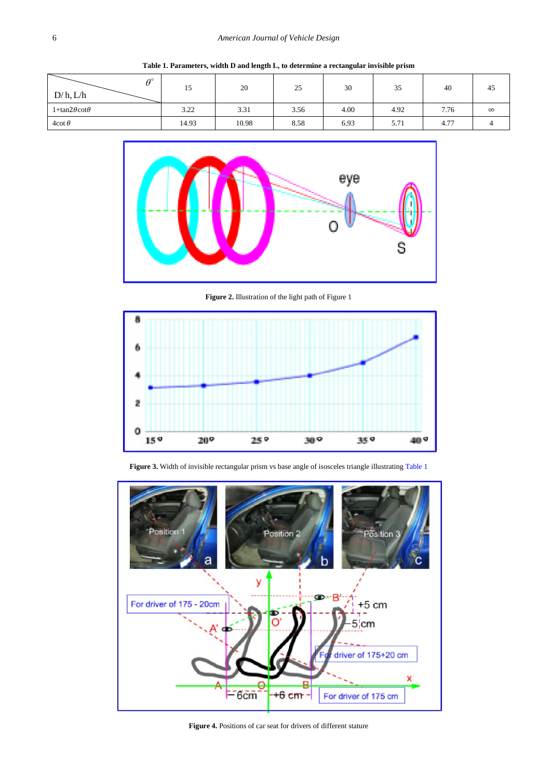<span id="page-1-0"></span>

| $\theta^\circ$<br>D/h, L/h | 15    | 20    | 25   | 30   | 35   | 40   | 45       |
|----------------------------|-------|-------|------|------|------|------|----------|
| $1+tan2\theta cot\theta$   | 3.22  | 3.31  | 3.56 | 4.00 | 4.92 | 7.76 | $\infty$ |
| 4cot $\theta$              | 14.93 | 10.98 | 8.58 | 6.93 | 5.71 | 4.77 |          |

**Table 1. Parameters, width D and length L, to determine a rectangular invisible prism**



**Figure 2.** Illustration of the light path of Figure 1





Figure 3. Width of invisible rectangular prism vs base angle of isosceles triangle illustratin[g Table 1](#page-1-0)

**Figure 4.** Positions of car seat for drivers of different stature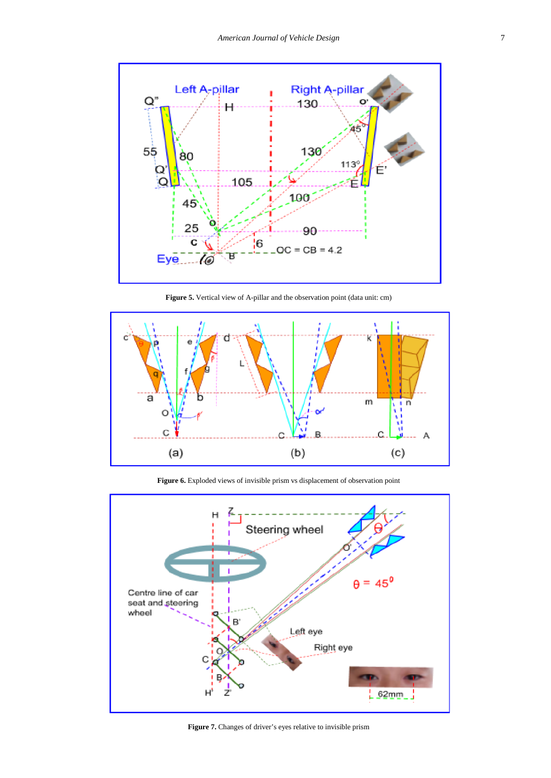

**Figure 5.** Vertical view of A-pillar and the observation point (data unit: cm)



**Figure 6.** Exploded views of invisible prism vs displacement of observation point



**Figure 7.** Changes of driver's eyes relative to invisible prism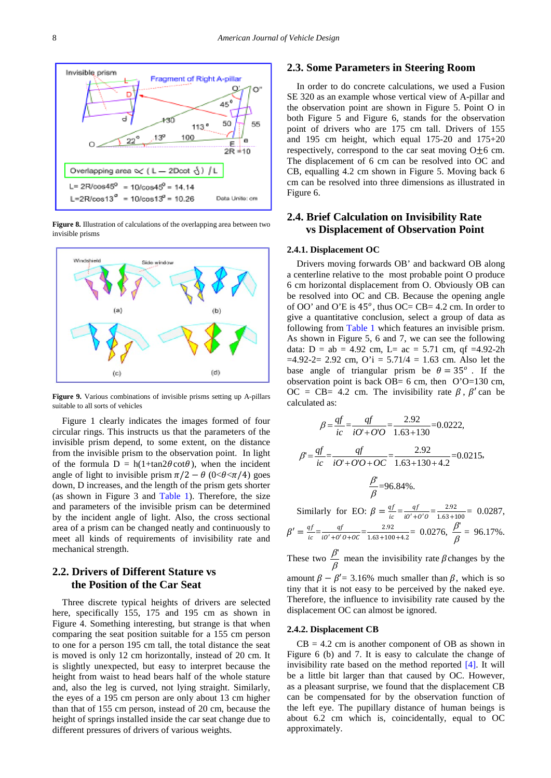

**Figure 8.** Illustration of calculations of the overlapping area between two invisible prisms



**Figure 9.** Various combinations of invisible prisms setting up A-pillars suitable to all sorts of vehicles

Figure 1 clearly indicates the images formed of four circular rings. This instructs us that the parameters of the invisible prism depend, to some extent, on the distance from the invisible prism to the observation point. In light of the formula  $D = h(1 + \tan 2\theta \cot \theta)$ , when the incident angle of light to invisible prism  $\pi/2 - \theta$  (0< $\theta < \pi/4$ ) goes down, D increases, and the length of the prism gets shorter (as shown in Figure 3 and [Table 1\)](#page-1-0). Therefore, the size and parameters of the invisible prism can be determined by the incident angle of light. Also, the cross sectional area of a prism can be changed neatly and continuously to meet all kinds of requirements of invisibility rate and mechanical strength.

### **2.2. Drivers of Different Stature vs the Position of the Car Seat**

Three discrete typical heights of drivers are selected here, specifically 155, 175 and 195 cm as shown in Figure 4. Something interesting, but strange is that when comparing the seat position suitable for a 155 cm person to one for a person 195 cm tall, the total distance the seat is moved is only 12 cm horizontally, instead of 20 cm. It is slightly unexpected, but easy to interpret because the height from waist to head bears half of the whole stature and, also the leg is curved, not lying straight. Similarly, the eyes of a 195 cm person are only about 13 cm higher than that of 155 cm person, instead of 20 cm, because the height of springs installed inside the car seat change due to different pressures of drivers of various weights.

# **2.3. Some Parameters in Steering Room**

In order to do concrete calculations, we used a Fusion SE 320 as an example whose vertical view of A-pillar and the observation point are shown in Figure 5. Point O in both Figure 5 and Figure 6, stands for the observation point of drivers who are 175 cm tall. Drivers of 155 and 195 cm height, which equal 175-20 and 175+20 respectively, correspond to the car seat moving O±6 cm. The displacement of 6 cm can be resolved into OC and CB, equalling 4.2 cm shown in Figure 5. Moving back 6 cm can be resolved into three dimensions as illustrated in Figure 6.

### **2.4. Brief Calculation on Invisibility Rate vs Displacement of Observation Point**

#### **2.4.1. Displacement OC**

Drivers moving forwards OB' and backward OB along a centerline relative to the most probable point O produce 6 cm horizontal displacement from O. Obviously OB can be resolved into OC and CB. Because the opening angle of OO' and O'E is  $45^{\circ}$ , thus OC= CB= 4.2 cm. In order to give a quantitative conclusion, select a group of data as following from [Table 1](#page-1-0) which features an invisible prism. As shown in Figure 5, 6 and 7, we can see the following data:  $D = ab = 4.92$  cm,  $L = ac = 5.71$  cm, qf =4.92-2h  $=4.92-2= 2.92$  cm,  $O'i = 5.71/4 = 1.63$  cm. Also let the base angle of triangular prism be  $\theta = 35^\circ$ . If the observation point is back OB= 6 cm, then  $O'O=130$  cm,  $OC = CB = 4.2$  cm. The invisibility rate  $\beta$ ,  $\beta'$  can be calculated as:

$$
\beta = \frac{df}{ic} = \frac{gf}{iO' + O'O} = \frac{2.92}{1.63 + 130} = 0.0222,
$$
  

$$
\beta' = \frac{gf}{ic} = \frac{gf}{iO' + O'O + OC} = \frac{2.92}{1.63 + 130 + 4.2} = 0.0215,
$$
  

$$
\frac{\beta'}{\beta} = 96.84\%.
$$

Similarly for EO:  $\beta = \frac{qt}{ic} = \frac{qt}{i0' + 0'0} = \frac{2.92}{1.63 + 100} = 0.0287$ ,

$$
\beta' = \frac{qf}{ic} = \frac{qf}{i\sigma' + \sigma'\sigma + \sigma c} = \frac{2.92}{1.63 + 100 + 4.2} = 0.0276, \ \frac{\beta'}{\beta} = 96.17\%.
$$

These two  $\frac{\beta'}{\beta}$  mean the invisibility rate  $\beta$ changes by the

amount  $\beta - \beta' = 3.16\%$  much smaller than  $\beta$ , which is so tiny that it is not easy to be perceived by the naked eye. Therefore, the influence to invisibility rate caused by the displacement OC can almost be ignored.

#### **2.4.2. Displacement CB**

 $CB = 4.2$  cm is another component of OB as shown in Figure 6 (b) and 7. It is easy to calculate the change of invisibility rate based on the method reported [\[4\].](#page-4-3) It will be a little bit larger than that caused by OC. However, as a pleasant surprise, we found that the displacement CB can be compensated for by the observation function of the left eye. The pupillary distance of human beings is about 6.2 cm which is, coincidentally, equal to OC approximately.